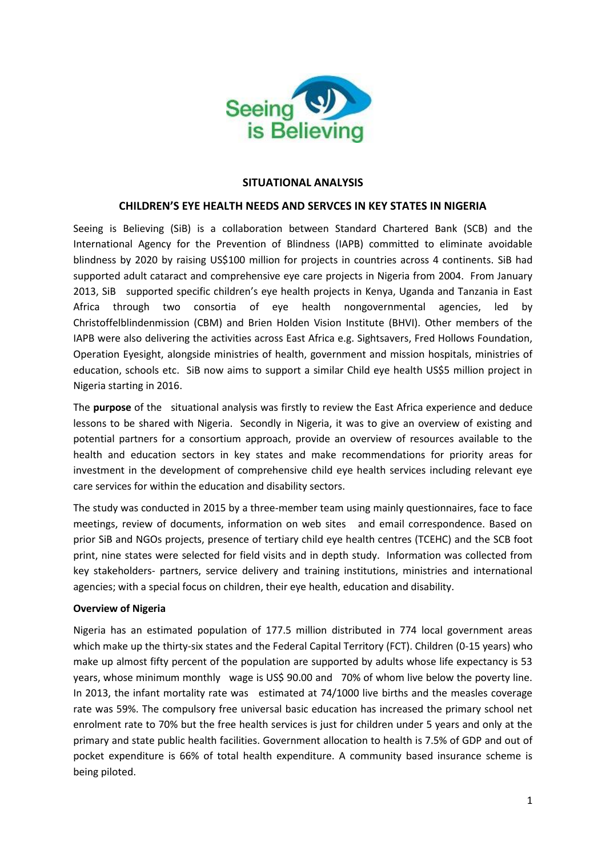

## **SITUATIONAL ANALYSIS**

## **CHILDREN'S EYE HEALTH NEEDS AND SERVCES IN KEY STATES IN NIGERIA**

Seeing is Believing (SiB) is a collaboration between Standard Chartered Bank (SCB) and the International Agency for the Prevention of Blindness (IAPB) committed to eliminate avoidable blindness by 2020 by raising US\$100 million for projects in countries across 4 continents. SiB had supported adult cataract and comprehensive eye care projects in Nigeria from 2004. From January 2013, SiB supported specific children's eye health projects in Kenya, Uganda and Tanzania in East Africa through two consortia of eye health nongovernmental agencies, led by Christoffelblindenmission (CBM) and Brien Holden Vision Institute (BHVI). Other members of the IAPB were also delivering the activities across East Africa e.g. Sightsavers, Fred Hollows Foundation, Operation Eyesight, alongside ministries of health, government and mission hospitals, ministries of education, schools etc. SiB now aims to support a similar Child eye health US\$5 million project in Nigeria starting in 2016.

The **purpose** of the situational analysis was firstly to review the East Africa experience and deduce lessons to be shared with Nigeria. Secondly in Nigeria, it was to give an overview of existing and potential partners for a consortium approach, provide an overview of resources available to the health and education sectors in key states and make recommendations for priority areas for investment in the development of comprehensive child eye health services including relevant eye care services for within the education and disability sectors.

The study was conducted in 2015 by a three-member team using mainly questionnaires, face to face meetings, review of documents, information on web sites and email correspondence. Based on prior SiB and NGOs projects, presence of tertiary child eye health centres (TCEHC) and the SCB foot print, nine states were selected for field visits and in depth study. Information was collected from key stakeholders- partners, service delivery and training institutions, ministries and international agencies; with a special focus on children, their eye health, education and disability.

## **Overview of Nigeria**

Nigeria has an estimated population of 177.5 million distributed in 774 local government areas which make up the thirty-six states and the Federal Capital Territory (FCT). Children (0-15 years) who make up almost fifty percent of the population are supported by adults whose life expectancy is 53 years, whose minimum monthly wage is US\$ 90.00 and 70% of whom live below the poverty line. In 2013, the infant mortality rate was estimated at 74/1000 live births and the measles coverage rate was 59%. The compulsory free universal basic education has increased the primary school net enrolment rate to 70% but the free health services is just for children under 5 years and only at the primary and state public health facilities. Government allocation to health is 7.5% of GDP and out of pocket expenditure is 66% of total health expenditure. A community based insurance scheme is being piloted.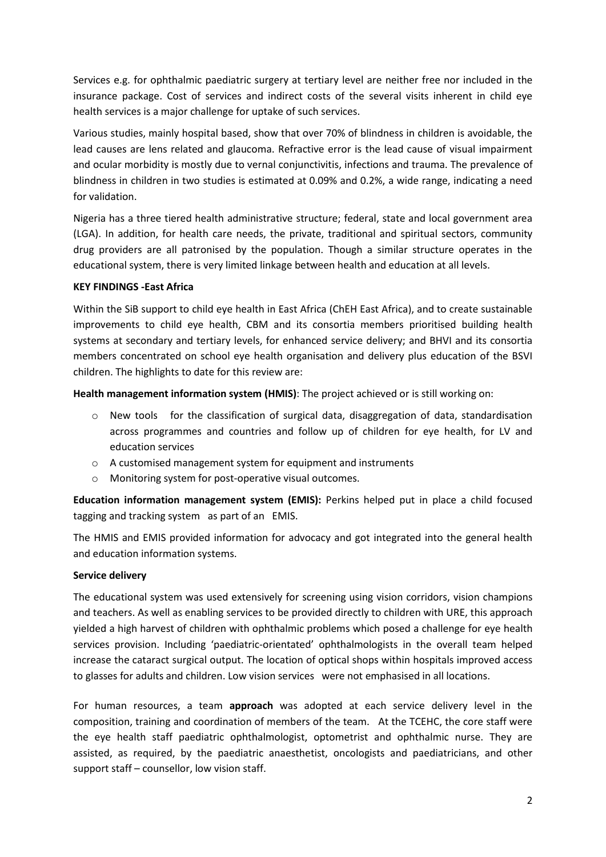Services e.g. for ophthalmic paediatric surgery at tertiary level are neither free nor included in the insurance package. Cost of services and indirect costs of the several visits inherent in child eye health services is a major challenge for uptake of such services.

Various studies, mainly hospital based, show that over 70% of blindness in children is avoidable, the lead causes are lens related and glaucoma. Refractive error is the lead cause of visual impairment and ocular morbidity is mostly due to vernal conjunctivitis, infections and trauma. The prevalence of blindness in children in two studies is estimated at 0.09% and 0.2%, a wide range, indicating a need for validation.

Nigeria has a three tiered health administrative structure; federal, state and local government area (LGA). In addition, for health care needs, the private, traditional and spiritual sectors, community drug providers are all patronised by the population. Though a similar structure operates in the educational system, there is very limited linkage between health and education at all levels.

## **KEY FINDINGS -East Africa**

Within the SiB support to child eye health in East Africa (ChEH East Africa), and to create sustainable improvements to child eye health, CBM and its consortia members prioritised building health systems at secondary and tertiary levels, for enhanced service delivery; and BHVI and its consortia members concentrated on school eye health organisation and delivery plus education of the BSVI children. The highlights to date for this review are:

**Health management information system (HMIS)**: The project achieved or is still working on:

- $\circ$  New tools for the classification of surgical data, disaggregation of data, standardisation across programmes and countries and follow up of children for eye health, for LV and education services
- o A customised management system for equipment and instruments
- o Monitoring system for post-operative visual outcomes.

**Education information management system (EMIS):** Perkins helped put in place a child focused tagging and tracking system as part of an EMIS.

The HMIS and EMIS provided information for advocacy and got integrated into the general health and education information systems.

## **Service delivery**

The educational system was used extensively for screening using vision corridors, vision champions and teachers. As well as enabling services to be provided directly to children with URE, this approach yielded a high harvest of children with ophthalmic problems which posed a challenge for eye health services provision. Including 'paediatric-orientated' ophthalmologists in the overall team helped increase the cataract surgical output. The location of optical shops within hospitals improved access to glasses for adults and children. Low vision services were not emphasised in all locations.

For human resources, a team **approach** was adopted at each service delivery level in the composition, training and coordination of members of the team. At the TCEHC, the core staff were the eye health staff paediatric ophthalmologist, optometrist and ophthalmic nurse. They are assisted, as required, by the paediatric anaesthetist, oncologists and paediatricians, and other support staff – counsellor, low vision staff.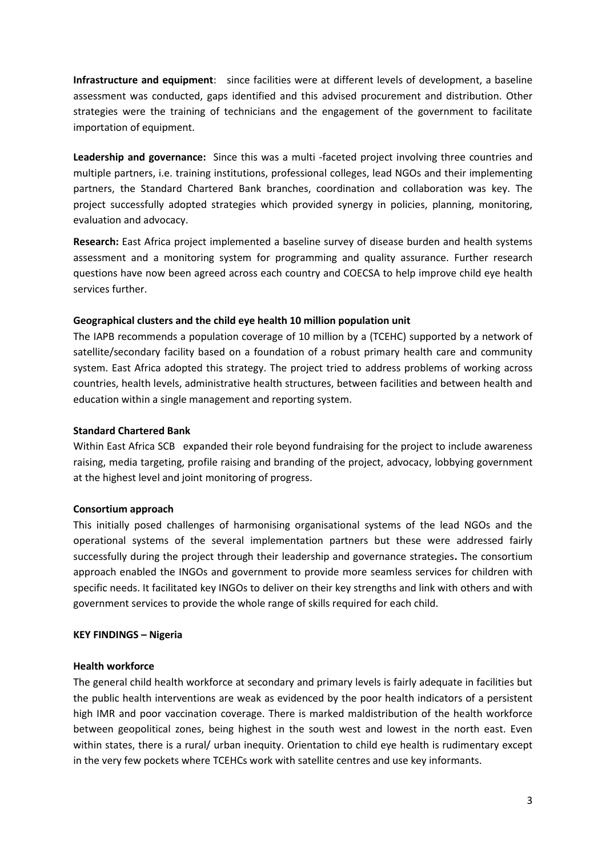**Infrastructure and equipment**: since facilities were at different levels of development, a baseline assessment was conducted, gaps identified and this advised procurement and distribution. Other strategies were the training of technicians and the engagement of the government to facilitate importation of equipment.

**Leadership and governance:** Since this was a multi -faceted project involving three countries and multiple partners, i.e. training institutions, professional colleges, lead NGOs and their implementing partners, the Standard Chartered Bank branches, coordination and collaboration was key. The project successfully adopted strategies which provided synergy in policies, planning, monitoring, evaluation and advocacy.

**Research:** East Africa project implemented a baseline survey of disease burden and health systems assessment and a monitoring system for programming and quality assurance. Further research questions have now been agreed across each country and COECSA to help improve child eye health services further.

## **Geographical clusters and the child eye health 10 million population unit**

The IAPB recommends a population coverage of 10 million by a (TCEHC) supported by a network of satellite/secondary facility based on a foundation of a robust primary health care and community system. East Africa adopted this strategy. The project tried to address problems of working across countries, health levels, administrative health structures, between facilities and between health and education within a single management and reporting system.

## **Standard Chartered Bank**

Within East Africa SCB expanded their role beyond fundraising for the project to include awareness raising, media targeting, profile raising and branding of the project, advocacy, lobbying government at the highest level and joint monitoring of progress.

## **Consortium approach**

This initially posed challenges of harmonising organisational systems of the lead NGOs and the operational systems of the several implementation partners but these were addressed fairly successfully during the project through their leadership and governance strategies**.** The consortium approach enabled the INGOs and government to provide more seamless services for children with specific needs. It facilitated key INGOs to deliver on their key strengths and link with others and with government services to provide the whole range of skills required for each child.

## **KEY FINDINGS – Nigeria**

## **Health workforce**

The general child health workforce at secondary and primary levels is fairly adequate in facilities but the public health interventions are weak as evidenced by the poor health indicators of a persistent high IMR and poor vaccination coverage. There is marked maldistribution of the health workforce between geopolitical zones, being highest in the south west and lowest in the north east. Even within states, there is a rural/ urban inequity. Orientation to child eye health is rudimentary except in the very few pockets where TCEHCs work with satellite centres and use key informants.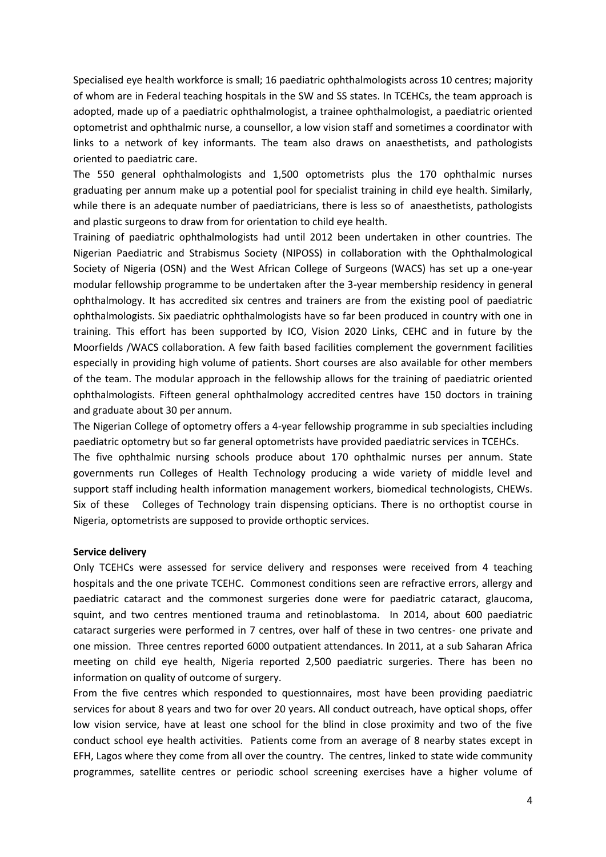Specialised eye health workforce is small; 16 paediatric ophthalmologists across 10 centres; majority of whom are in Federal teaching hospitals in the SW and SS states. In TCEHCs, the team approach is adopted, made up of a paediatric ophthalmologist, a trainee ophthalmologist, a paediatric oriented optometrist and ophthalmic nurse, a counsellor, a low vision staff and sometimes a coordinator with links to a network of key informants. The team also draws on anaesthetists, and pathologists oriented to paediatric care.

The 550 general ophthalmologists and 1,500 optometrists plus the 170 ophthalmic nurses graduating per annum make up a potential pool for specialist training in child eye health. Similarly, while there is an adequate number of paediatricians, there is less so of anaesthetists, pathologists and plastic surgeons to draw from for orientation to child eye health.

Training of paediatric ophthalmologists had until 2012 been undertaken in other countries. The Nigerian Paediatric and Strabismus Society (NIPOSS) in collaboration with the Ophthalmological Society of Nigeria (OSN) and the West African College of Surgeons (WACS) has set up a one-year modular fellowship programme to be undertaken after the 3-year membership residency in general ophthalmology. It has accredited six centres and trainers are from the existing pool of paediatric ophthalmologists. Six paediatric ophthalmologists have so far been produced in country with one in training. This effort has been supported by ICO, Vision 2020 Links, CEHC and in future by the Moorfields /WACS collaboration. A few faith based facilities complement the government facilities especially in providing high volume of patients. Short courses are also available for other members of the team. The modular approach in the fellowship allows for the training of paediatric oriented ophthalmologists. Fifteen general ophthalmology accredited centres have 150 doctors in training and graduate about 30 per annum.

The Nigerian College of optometry offers a 4-year fellowship programme in sub specialties including paediatric optometry but so far general optometrists have provided paediatric services in TCEHCs.

The five ophthalmic nursing schools produce about 170 ophthalmic nurses per annum. State governments run Colleges of Health Technology producing a wide variety of middle level and support staff including health information management workers, biomedical technologists, CHEWs. Six of these Colleges of Technology train dispensing opticians. There is no orthoptist course in Nigeria, optometrists are supposed to provide orthoptic services.

#### **Service delivery**

Only TCEHCs were assessed for service delivery and responses were received from 4 teaching hospitals and the one private TCEHC. Commonest conditions seen are refractive errors, allergy and paediatric cataract and the commonest surgeries done were for paediatric cataract, glaucoma, squint, and two centres mentioned trauma and retinoblastoma. In 2014, about 600 paediatric cataract surgeries were performed in 7 centres, over half of these in two centres- one private and one mission. Three centres reported 6000 outpatient attendances. In 2011, at a sub Saharan Africa meeting on child eye health, Nigeria reported 2,500 paediatric surgeries. There has been no information on quality of outcome of surgery.

From the five centres which responded to questionnaires, most have been providing paediatric services for about 8 years and two for over 20 years. All conduct outreach, have optical shops, offer low vision service, have at least one school for the blind in close proximity and two of the five conduct school eye health activities. Patients come from an average of 8 nearby states except in EFH, Lagos where they come from all over the country. The centres, linked to state wide community programmes, satellite centres or periodic school screening exercises have a higher volume of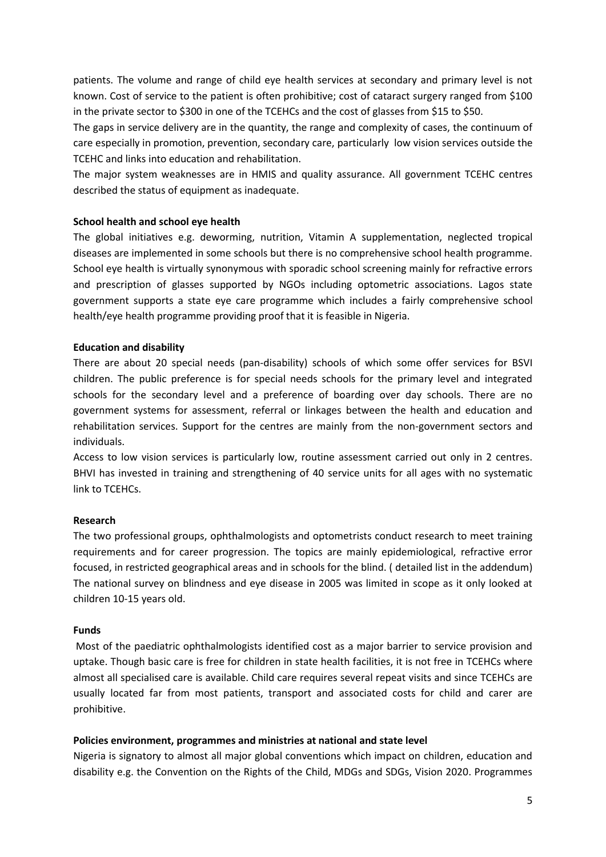patients. The volume and range of child eye health services at secondary and primary level is not known. Cost of service to the patient is often prohibitive; cost of cataract surgery ranged from \$100 in the private sector to \$300 in one of the TCEHCs and the cost of glasses from \$15 to \$50.

The gaps in service delivery are in the quantity, the range and complexity of cases, the continuum of care especially in promotion, prevention, secondary care, particularly low vision services outside the TCEHC and links into education and rehabilitation.

The major system weaknesses are in HMIS and quality assurance. All government TCEHC centres described the status of equipment as inadequate.

## **School health and school eye health**

The global initiatives e.g. deworming, nutrition, Vitamin A supplementation, neglected tropical diseases are implemented in some schools but there is no comprehensive school health programme. School eye health is virtually synonymous with sporadic school screening mainly for refractive errors and prescription of glasses supported by NGOs including optometric associations. Lagos state government supports a state eye care programme which includes a fairly comprehensive school health/eye health programme providing proof that it is feasible in Nigeria.

## **Education and disability**

There are about 20 special needs (pan-disability) schools of which some offer services for BSVI children. The public preference is for special needs schools for the primary level and integrated schools for the secondary level and a preference of boarding over day schools. There are no government systems for assessment, referral or linkages between the health and education and rehabilitation services. Support for the centres are mainly from the non-government sectors and individuals.

Access to low vision services is particularly low, routine assessment carried out only in 2 centres. BHVI has invested in training and strengthening of 40 service units for all ages with no systematic link to TCEHCs.

#### **Research**

The two professional groups, ophthalmologists and optometrists conduct research to meet training requirements and for career progression. The topics are mainly epidemiological, refractive error focused, in restricted geographical areas and in schools for the blind. ( detailed list in the addendum) The national survey on blindness and eye disease in 2005 was limited in scope as it only looked at children 10-15 years old.

#### **Funds**

Most of the paediatric ophthalmologists identified cost as a major barrier to service provision and uptake. Though basic care is free for children in state health facilities, it is not free in TCEHCs where almost all specialised care is available. Child care requires several repeat visits and since TCEHCs are usually located far from most patients, transport and associated costs for child and carer are prohibitive.

## **Policies environment, programmes and ministries at national and state level**

Nigeria is signatory to almost all major global conventions which impact on children, education and disability e.g. the Convention on the Rights of the Child, MDGs and SDGs, Vision 2020. Programmes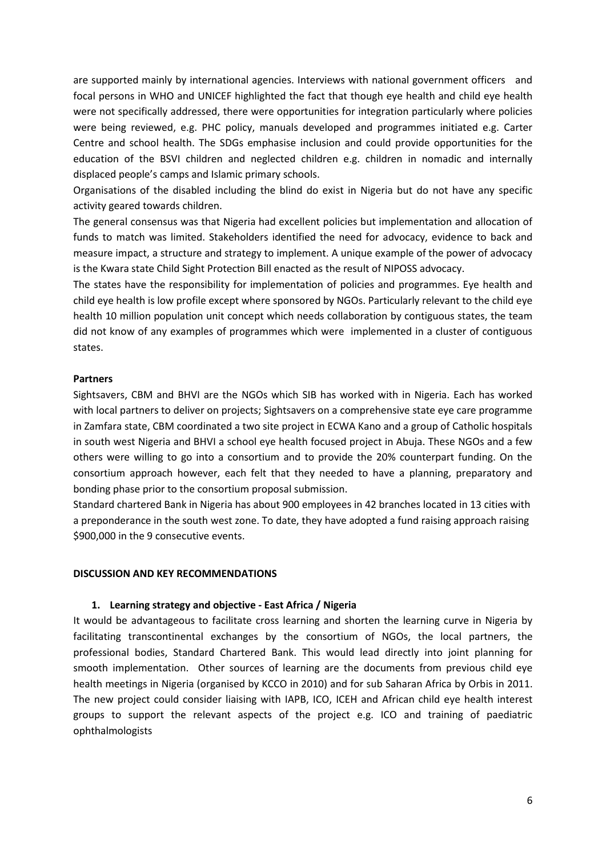are supported mainly by international agencies. Interviews with national government officers and focal persons in WHO and UNICEF highlighted the fact that though eye health and child eye health were not specifically addressed, there were opportunities for integration particularly where policies were being reviewed, e.g. PHC policy, manuals developed and programmes initiated e.g. Carter Centre and school health. The SDGs emphasise inclusion and could provide opportunities for the education of the BSVI children and neglected children e.g. children in nomadic and internally displaced people's camps and Islamic primary schools.

Organisations of the disabled including the blind do exist in Nigeria but do not have any specific activity geared towards children.

The general consensus was that Nigeria had excellent policies but implementation and allocation of funds to match was limited. Stakeholders identified the need for advocacy, evidence to back and measure impact, a structure and strategy to implement. A unique example of the power of advocacy is the Kwara state Child Sight Protection Bill enacted as the result of NIPOSS advocacy.

The states have the responsibility for implementation of policies and programmes. Eye health and child eye health is low profile except where sponsored by NGOs. Particularly relevant to the child eye health 10 million population unit concept which needs collaboration by contiguous states, the team did not know of any examples of programmes which were implemented in a cluster of contiguous states.

#### **Partners**

Sightsavers, CBM and BHVI are the NGOs which SIB has worked with in Nigeria. Each has worked with local partners to deliver on projects; Sightsavers on a comprehensive state eye care programme in Zamfara state, CBM coordinated a two site project in ECWA Kano and a group of Catholic hospitals in south west Nigeria and BHVI a school eye health focused project in Abuja. These NGOs and a few others were willing to go into a consortium and to provide the 20% counterpart funding. On the consortium approach however, each felt that they needed to have a planning, preparatory and bonding phase prior to the consortium proposal submission.

Standard chartered Bank in Nigeria has about 900 employees in 42 branches located in 13 cities with a preponderance in the south west zone. To date, they have adopted a fund raising approach raising \$900,000 in the 9 consecutive events.

#### **DISCUSSION AND KEY RECOMMENDATIONS**

#### **1. Learning strategy and objective - East Africa / Nigeria**

It would be advantageous to facilitate cross learning and shorten the learning curve in Nigeria by facilitating transcontinental exchanges by the consortium of NGOs, the local partners, the professional bodies, Standard Chartered Bank. This would lead directly into joint planning for smooth implementation. Other sources of learning are the documents from previous child eye health meetings in Nigeria (organised by KCCO in 2010) and for sub Saharan Africa by Orbis in 2011. The new project could consider liaising with IAPB, ICO, ICEH and African child eye health interest groups to support the relevant aspects of the project e.g. ICO and training of paediatric ophthalmologists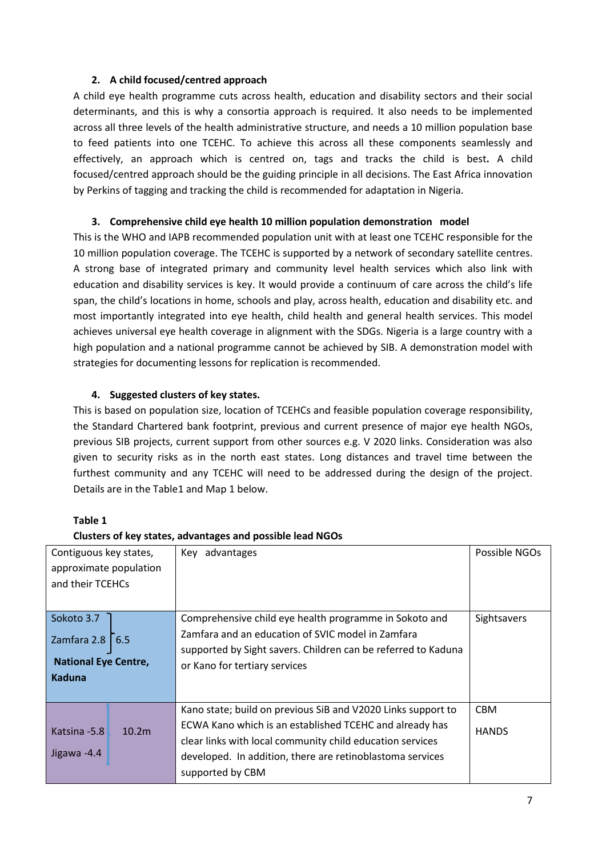## **2. A child focused/centred approach**

A child eye health programme cuts across health, education and disability sectors and their social determinants, and this is why a consortia approach is required. It also needs to be implemented across all three levels of the health administrative structure, and needs a 10 million population base to feed patients into one TCEHC. To achieve this across all these components seamlessly and effectively, an approach which is centred on, tags and tracks the child is best**.** A child focused/centred approach should be the guiding principle in all decisions. The East Africa innovation by Perkins of tagging and tracking the child is recommended for adaptation in Nigeria.

## **3. Comprehensive child eye health 10 million population demonstration model**

This is the WHO and IAPB recommended population unit with at least one TCEHC responsible for the 10 million population coverage. The TCEHC is supported by a network of secondary satellite centres. A strong base of integrated primary and community level health services which also link with education and disability services is key. It would provide a continuum of care across the child's life span, the child's locations in home, schools and play, across health, education and disability etc. and most importantly integrated into eye health, child health and general health services. This model achieves universal eye health coverage in alignment with the SDGs. Nigeria is a large country with a high population and a national programme cannot be achieved by SIB. A demonstration model with strategies for documenting lessons for replication is recommended.

## **4. Suggested clusters of key states.**

This is based on population size, location of TCEHCs and feasible population coverage responsibility, the Standard Chartered bank footprint, previous and current presence of major eye health NGOs, previous SIB projects, current support from other sources e.g. V 2020 links. Consideration was also given to security risks as in the north east states. Long distances and travel time between the furthest community and any TCEHC will need to be addressed during the design of the project. Details are in the Table1 and Map 1 below.

# **Table 1**

## **Clusters of key states, advantages and possible lead NGOs**

| Contiguous key states,<br>approximate population<br>and their TCEHCs                  |                   | Key advantages                                                                                                                                                                                                                                                        | Possible NGOs              |
|---------------------------------------------------------------------------------------|-------------------|-----------------------------------------------------------------------------------------------------------------------------------------------------------------------------------------------------------------------------------------------------------------------|----------------------------|
| Sokoto 3.7<br>Zamfara 2.8 $\vert$ 6.5<br><b>National Eye Centre,</b><br><b>Kaduna</b> |                   | Comprehensive child eye health programme in Sokoto and<br>Zamfara and an education of SVIC model in Zamfara<br>supported by Sight savers. Children can be referred to Kaduna<br>or Kano for tertiary services                                                         | Sightsavers                |
| Katsina - 5.8<br>Jigawa -4.4                                                          | 10.2 <sub>m</sub> | Kano state; build on previous SiB and V2020 Links support to<br>ECWA Kano which is an established TCEHC and already has<br>clear links with local community child education services<br>developed. In addition, there are retinoblastoma services<br>supported by CBM | <b>CBM</b><br><b>HANDS</b> |